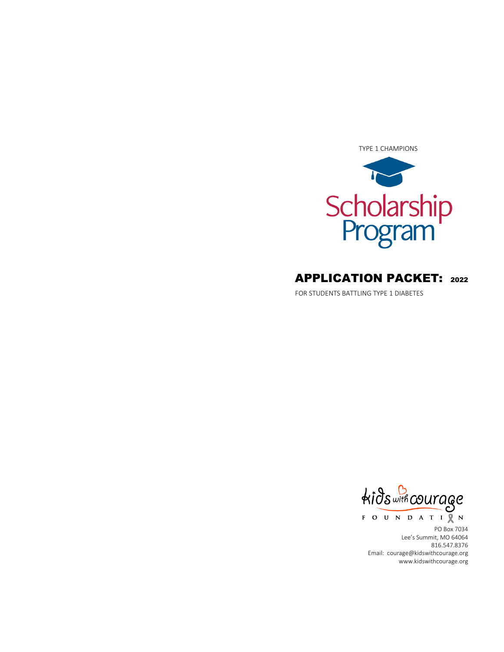

# APPLICATION PACKET: <sup>2022</sup>

FOR STUDENTS BATTLING TYPE 1 DIABETES

kids with courage FOUNDATIQN

PO Box 7034 Lee's Summit, MO 64064 816.547.8376 Email: courage@kidswithcourage.org www.kidswithcourage.org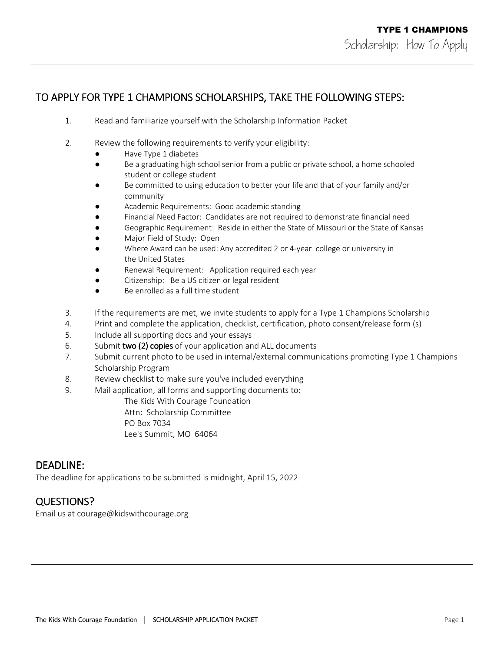## TO APPLY FOR TYPE 1 CHAMPIONS SCHOLARSHIPS, TAKE THE FOLLOWING STEPS:

- 1. Read and familiarize yourself with the Scholarship Information Packet
- 2. Review the following requirements to verify your eligibility:
	- Have Type 1 diabetes
	- Be a graduating high school senior from a public or private school, a home schooled student or college student
	- Be committed to using education to better your life and that of your family and/or community
	- Academic Requirements: Good academic standing
	- Financial Need Factor: Candidates are not required to demonstrate financial need
	- Geographic Requirement: Reside in either the State of Missouri or the State of Kansas
	- Major Field of Study: Open
	- Where Award can be used: Any accredited 2 or 4-year college or university in the United States
	- Renewal Requirement: Application required each year
	- Citizenship: Be a US citizen or legal resident
	- Be enrolled as a full time student
- 3. If the requirements are met, we invite students to apply for a Type 1 Champions Scholarship
- 4. Print and complete the application, checklist, certification, photo consent/release form (s)
- 5. Include all supporting docs and your essays
- 6. Submit two (2) copies of your application and ALL documents
- 7. Submit current photo to be used in internal/external communications promoting Type 1 Champions Scholarship Program
- 8. Review checklist to make sure you've included everything
- 9. Mail application, all forms and supporting documents to:

The Kids With Courage Foundation

Attn: Scholarship Committee

PO Box 7034

Lee's Summit, MO 64064

## DEADLINE:

The deadline for applications to be submitted is midnight, April 15, 2022

## QUESTIONS? QUESTIONS?

Email us at courage@kidswithcourage.org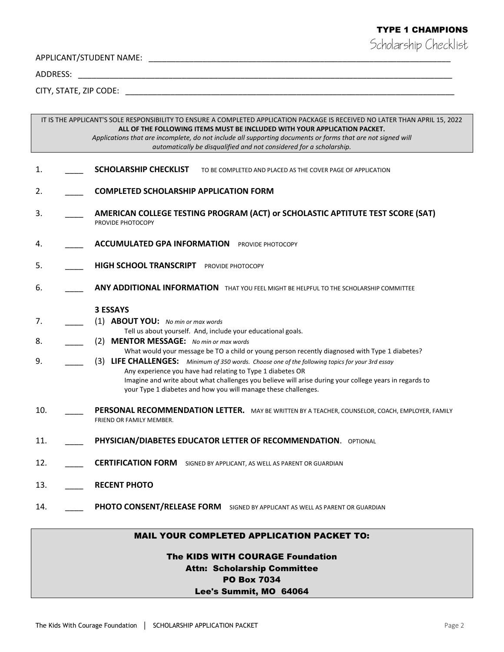## TYPE 1 CHAMPIONS

Scholarship Checklist

APPLICANT/STUDENT NAME: \_\_\_\_\_\_\_\_\_\_\_\_\_\_\_\_\_\_\_\_\_\_\_\_\_\_\_\_\_\_\_\_\_\_\_\_\_\_\_\_\_\_\_\_\_\_\_\_\_\_\_\_\_\_\_\_\_\_\_\_\_\_\_\_\_\_\_

ADDRESS: \_\_\_\_\_\_\_\_\_\_\_\_\_\_\_\_\_\_\_\_\_\_\_\_\_\_\_\_\_\_\_\_\_\_\_\_\_\_\_\_\_\_\_\_\_\_\_\_\_\_\_\_\_\_\_\_\_\_\_\_\_\_\_\_\_\_\_\_\_\_\_\_\_\_\_\_\_\_\_\_\_\_\_

CITY, STATE, ZIP CODE: \_\_\_\_\_\_\_\_\_\_\_\_\_\_\_\_\_\_\_\_\_\_\_\_\_\_\_\_\_\_\_\_\_\_\_\_\_\_\_\_\_\_\_\_\_\_\_\_\_\_\_\_\_\_\_\_\_\_\_\_\_\_\_\_\_\_\_\_\_\_\_\_\_

IT IS THE APPLICANT'S SOLE RESPONSIBILITY TO ENSURE A COMPLETED APPLICATION PACKAGE IS RECEIVED NO LATER THAN APRIL 15, 2022 **ALL OF THE FOLLOWING ITEMS MUST BE INCLUDED WITH YOUR APPLICATION PACKET.**  *Applications that are incomplete, do not include all supporting documents or forms that are not signed will automatically be disqualified and not considered for a scholarship.* 

- 1. **SCHOLARSHIP CHECKLIST** TO BE COMPLETED AND PLACED AS THE COVER PAGE OF APPLICATION
- 2. \_\_\_\_ **COMPLETED SCHOLARSHIP APPLICATION FORM**
- 3. \_\_\_\_ **AMERICAN COLLEGE TESTING PROGRAM (ACT) or SCHOLASTIC APTITUTE TEST SCORE (SAT)**  PROVIDE PHOTOCOPY
- 4. **ACCUMULATED GPA INFORMATION** PROVIDE PHOTOCOPY
- 5. **HIGH SCHOOL TRANSCRIPT** PROVIDE PHOTOCOPY
- 6. \_\_\_\_ **ANY ADDITIONAL INFORMATION** THAT YOU FEEL MIGHT BE HELPFUL TO THE SCHOLARSHIP COMMITTEE

#### **3 ESSAYS**

- 7. \_\_\_\_ (1) **ABOUT YOU:** *No min or max words* Tell us about yourself. And, include your educational goals.
- 8. \_\_\_\_ (2) **MENTOR MESSAGE:** *No min or max words*
	- What would your message be TO a child or young person recently diagnosed with Type 1 diabetes?
- 9. \_\_\_\_ (3) **LIFE CHALLENGES:** *Minimum of 350 words. Choose one of the following topics for your 3rd essay* Any experience you have had relating to Type 1 diabetes OR Imagine and write about what challenges you believe will arise during your college years in regards to your Type 1 diabetes and how you will manage these challenges.
- 10. \_\_\_\_ **PERSONAL RECOMMENDATION LETTER.** MAY BE WRITTEN BY A TEACHER, COUNSELOR, COACH, EMPLOYER, FAMILY FRIEND OR FAMILY MEMBER.
- 11. \_\_\_\_ **PHYSICIAN/DIABETES EDUCATOR LETTER OF RECOMMENDATION**. OPTIONAL
- 12. \_\_\_\_ **CERTIFICATION FORM** SIGNED BY APPLICANT, AS WELL AS PARENT OR GUARDIAN
- 13. \_\_\_\_ **RECENT PHOTO**
- 14. **PHOTO CONSENT/RELEASE FORM** SIGNED BY APPLICANT AS WELL AS PARENT OR GUARDIAN

#### MAIL YOUR COMPLETED APPLICATION PACKET TO:

# The KIDS WITH COURAGE Foundation Attn: Scholarship Committee PO Box 7034

### Lee's Summit, MO 64064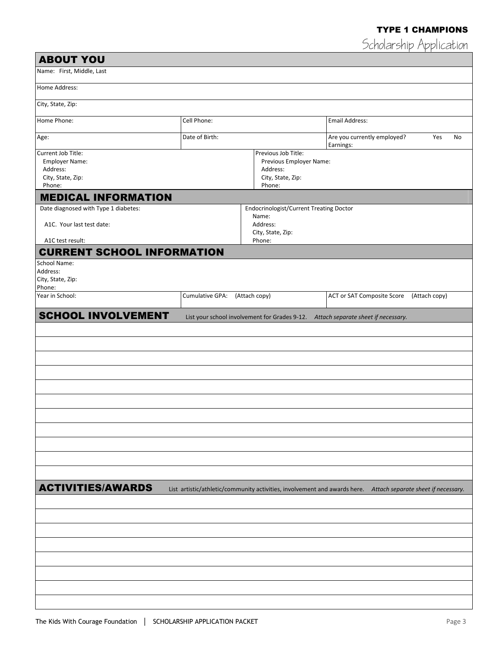## TYPE 1 CHAMPIONS

Scholarship Application

| <b>ABOUT YOU</b>                                                                       |                                                                                           |                                                                                                    |                                                                                                               |               |  |
|----------------------------------------------------------------------------------------|-------------------------------------------------------------------------------------------|----------------------------------------------------------------------------------------------------|---------------------------------------------------------------------------------------------------------------|---------------|--|
| Name: First, Middle, Last                                                              |                                                                                           |                                                                                                    |                                                                                                               |               |  |
| Home Address:                                                                          |                                                                                           |                                                                                                    |                                                                                                               |               |  |
| City, State, Zip:                                                                      |                                                                                           |                                                                                                    |                                                                                                               |               |  |
| Home Phone:                                                                            | Cell Phone:                                                                               |                                                                                                    | <b>Email Address:</b>                                                                                         |               |  |
| Age:                                                                                   | Date of Birth:                                                                            |                                                                                                    | Are you currently employed?<br>Earnings:                                                                      | Yes<br>No     |  |
| Current Job Title:<br><b>Employer Name:</b><br>Address:<br>City, State, Zip:<br>Phone: | Previous Job Title:<br>Previous Employer Name:<br>Address:<br>City, State, Zip:<br>Phone: |                                                                                                    |                                                                                                               |               |  |
| <b>MEDICAL INFORMATION</b>                                                             |                                                                                           |                                                                                                    |                                                                                                               |               |  |
| Date diagnosed with Type 1 diabetes:<br>A1C. Your last test date:<br>A1C test result:  |                                                                                           | <b>Endocrinologist/Current Treating Doctor</b><br>Name:<br>Address:<br>City, State, Zip:<br>Phone: |                                                                                                               |               |  |
| <b>CURRENT SCHOOL INFORMATION</b>                                                      |                                                                                           |                                                                                                    |                                                                                                               |               |  |
| School Name:<br>Address:<br>City, State, Zip:<br>Phone:                                |                                                                                           |                                                                                                    |                                                                                                               |               |  |
| Year in School:                                                                        | Cumulative GPA:                                                                           | (Attach copy)                                                                                      | <b>ACT or SAT Composite Score</b>                                                                             | (Attach copy) |  |
| <b>SCHOOL INVOLVEMENT</b>                                                              |                                                                                           |                                                                                                    | List your school involvement for Grades 9-12. Attach separate sheet if necessary.                             |               |  |
|                                                                                        |                                                                                           |                                                                                                    |                                                                                                               |               |  |
|                                                                                        |                                                                                           |                                                                                                    |                                                                                                               |               |  |
|                                                                                        |                                                                                           |                                                                                                    |                                                                                                               |               |  |
|                                                                                        |                                                                                           |                                                                                                    |                                                                                                               |               |  |
|                                                                                        |                                                                                           |                                                                                                    |                                                                                                               |               |  |
| <b>ACTIVITIES/AWARDS</b>                                                               |                                                                                           |                                                                                                    | List artistic/athletic/community activities, involvement and awards here. Attach separate sheet if necessary. |               |  |
|                                                                                        |                                                                                           |                                                                                                    |                                                                                                               |               |  |
|                                                                                        |                                                                                           |                                                                                                    |                                                                                                               |               |  |
|                                                                                        |                                                                                           |                                                                                                    |                                                                                                               |               |  |
|                                                                                        |                                                                                           |                                                                                                    |                                                                                                               |               |  |
|                                                                                        |                                                                                           |                                                                                                    |                                                                                                               |               |  |
|                                                                                        |                                                                                           |                                                                                                    |                                                                                                               |               |  |
|                                                                                        |                                                                                           |                                                                                                    |                                                                                                               |               |  |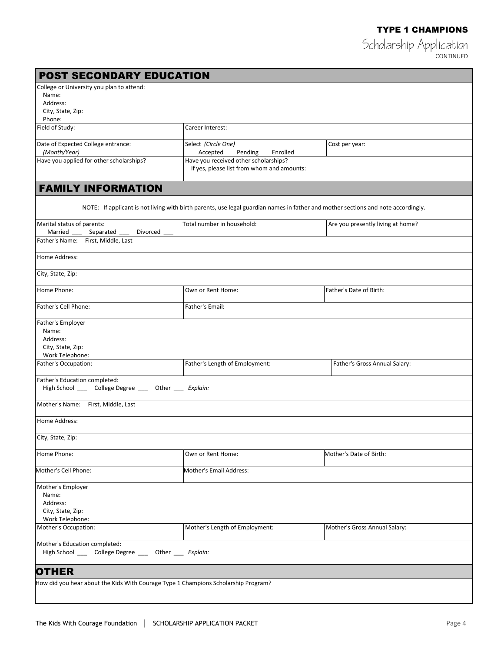Scholarship Application CONTINUED

| <b>POST SECONDARY EDUCATION</b>                                                               |                                                                                                                                   |                                   |
|-----------------------------------------------------------------------------------------------|-----------------------------------------------------------------------------------------------------------------------------------|-----------------------------------|
| College or University you plan to attend:<br>Name:<br>Address:<br>City, State, Zip:<br>Phone: |                                                                                                                                   |                                   |
| Field of Study:                                                                               | Career Interest:                                                                                                                  |                                   |
| Date of Expected College entrance:<br>(Month/Year)                                            | Select (Circle One)<br>Accepted<br>Pending<br>Enrolled                                                                            | Cost per year:                    |
| Have you applied for other scholarships?                                                      | Have you received other scholarships?<br>If yes, please list from whom and amounts:                                               |                                   |
| <b>FAMILY INFORMATION</b>                                                                     |                                                                                                                                   |                                   |
|                                                                                               | NOTE: If applicant is not living with birth parents, use legal guardian names in father and mother sections and note accordingly. |                                   |
| Marital status of parents:<br>Married<br>Separated<br>Divorced                                | Total number in household:                                                                                                        | Are you presently living at home? |
| Father's Name: First, Middle, Last                                                            |                                                                                                                                   |                                   |
| Home Address:                                                                                 |                                                                                                                                   |                                   |
| City, State, Zip:                                                                             |                                                                                                                                   |                                   |
| Home Phone:                                                                                   | Own or Rent Home:                                                                                                                 | Father's Date of Birth:           |
| Father's Cell Phone:                                                                          | Father's Email:                                                                                                                   |                                   |
| Father's Employer<br>Name:<br>Address:<br>City, State, Zip:<br>Work Telephone:                |                                                                                                                                   |                                   |
| Father's Occupation:                                                                          | Father's Length of Employment:                                                                                                    | Father's Gross Annual Salary:     |
| Father's Education completed:<br>High School _____ College Degree ____ Other ____ Explain:    |                                                                                                                                   |                                   |
| Mother's Name: First, Middle, Last                                                            |                                                                                                                                   |                                   |
| Home Address:                                                                                 |                                                                                                                                   |                                   |
| City, State, Zip:                                                                             |                                                                                                                                   |                                   |
| Home Phone:                                                                                   | Own or Rent Home:                                                                                                                 | Mother's Date of Birth:           |
| Mother's Cell Phone:                                                                          | Mother's Email Address:                                                                                                           |                                   |
| Mother's Employer<br>Name:<br>Address:<br>City, State, Zip:<br>Work Telephone:                |                                                                                                                                   |                                   |
| Mother's Occupation:                                                                          | Mother's Length of Employment:                                                                                                    | Mother's Gross Annual Salary:     |
| Mother's Education completed:<br>High School _____ College Degree ____ Other ____ Explain:    |                                                                                                                                   |                                   |
| <b>OTHER</b>                                                                                  |                                                                                                                                   |                                   |
| How did you hear about the Kids With Courage Type 1 Champions Scholarship Program?            |                                                                                                                                   |                                   |
|                                                                                               |                                                                                                                                   |                                   |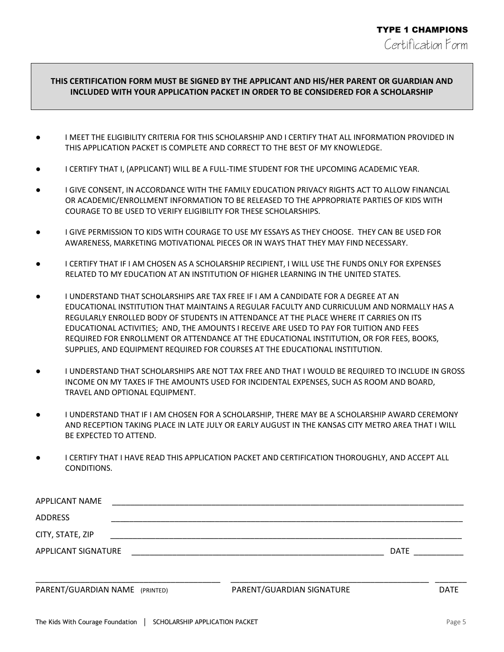### **THIS CERTIFICATION FORM MUST BE SIGNED BY THE APPLICANT AND HIS/HER PARENT OR GUARDIAN AND INCLUDED WITH YOUR APPLICATION PACKET IN ORDER TO BE CONSIDERED FOR A SCHOLARSHIP**

- I MEET THE ELIGIBILITY CRITERIA FOR THIS SCHOLARSHIP AND I CERTIFY THAT ALL INFORMATION PROVIDED IN THIS APPLICATION PACKET IS COMPLETE AND CORRECT TO THE BEST OF MY KNOWLEDGE.
- I CERTIFY THAT I, (APPLICANT) WILL BE A FULL-TIME STUDENT FOR THE UPCOMING ACADEMIC YEAR.
- I GIVE CONSENT, IN ACCORDANCE WITH THE FAMILY EDUCATION PRIVACY RIGHTS ACT TO ALLOW FINANCIAL OR ACADEMIC/ENROLLMENT INFORMATION TO BE RELEASED TO THE APPROPRIATE PARTIES OF KIDS WITH COURAGE TO BE USED TO VERIFY ELIGIBILITY FOR THESE SCHOLARSHIPS.
- I GIVE PERMISSION TO KIDS WITH COURAGE TO USE MY ESSAYS AS THEY CHOOSE. THEY CAN BE USED FOR AWARENESS, MARKETING MOTIVATIONAL PIECES OR IN WAYS THAT THEY MAY FIND NECESSARY.
- I CERTIFY THAT IF I AM CHOSEN AS A SCHOLARSHIP RECIPIENT, I WILL USE THE FUNDS ONLY FOR EXPENSES RELATED TO MY EDUCATION AT AN INSTITUTION OF HIGHER LEARNING IN THE UNITED STATES.
- I UNDERSTAND THAT SCHOLARSHIPS ARE TAX FREE IF I AM A CANDIDATE FOR A DEGREE AT AN EDUCATIONAL INSTITUTION THAT MAINTAINS A REGULAR FACULTY AND CURRICULUM AND NORMALLY HAS A REGULARLY ENROLLED BODY OF STUDENTS IN ATTENDANCE AT THE PLACE WHERE IT CARRIES ON ITS EDUCATIONAL ACTIVITIES; AND, THE AMOUNTS I RECEIVE ARE USED TO PAY FOR TUITION AND FEES REQUIRED FOR ENROLLMENT OR ATTENDANCE AT THE EDUCATIONAL INSTITUTION, OR FOR FEES, BOOKS, SUPPLIES, AND EQUIPMENT REQUIRED FOR COURSES AT THE EDUCATIONAL INSTITUTION.
- I UNDERSTAND THAT SCHOLARSHIPS ARE NOT TAX FREE AND THAT I WOULD BE REQUIRED TO INCLUDE IN GROSS INCOME ON MY TAXES IF THE AMOUNTS USED FOR INCIDENTAL EXPENSES, SUCH AS ROOM AND BOARD, TRAVEL AND OPTIONAL EQUIPMENT.
- I UNDERSTAND THAT IF I AM CHOSEN FOR A SCHOLARSHIP, THERE MAY BE A SCHOLARSHIP AWARD CEREMONY AND RECEPTION TAKING PLACE IN LATE JULY OR EARLY AUGUST IN THE KANSAS CITY METRO AREA THAT I WILL BE EXPECTED TO ATTEND.
- I CERTIFY THAT I HAVE READ THIS APPLICATION PACKET AND CERTIFICATION THOROUGHLY, AND ACCEPT ALL CONDITIONS.

| <b>APPLICANT NAME</b>          |                           |      |      |
|--------------------------------|---------------------------|------|------|
| <b>ADDRESS</b>                 |                           |      |      |
| CITY, STATE, ZIP               |                           |      |      |
| APPLICANT SIGNATURE            |                           | DATE |      |
|                                |                           |      |      |
| PARENT/GUARDIAN NAME (PRINTED) | PARENT/GUARDIAN SIGNATURE |      | DATE |